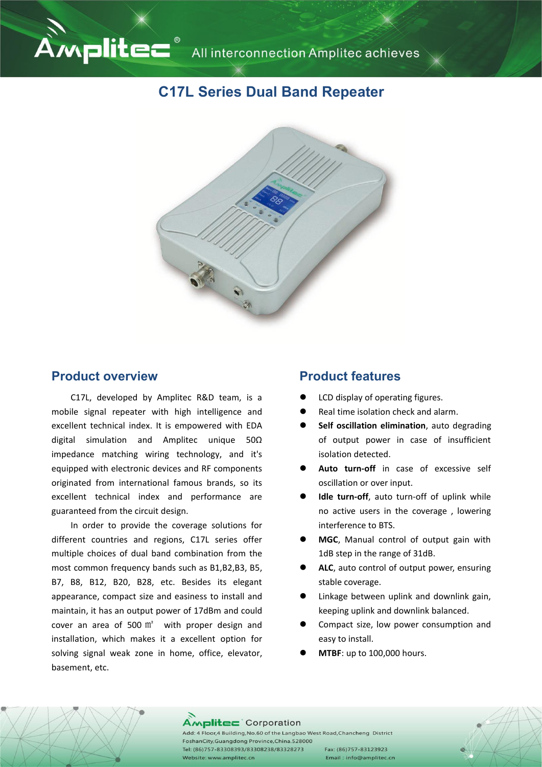# Ampliter all interconnection Amplitec achieves

## **C17L Series Dual Band Repeater**



#### **Product overview**

C17L, developed by Amplitec R&D team, is a mobile signal repeater with high intelligence and excellent technical index. It is empowered with EDA digital simulation and Amplitec unique 50Ω impedance matching wiring technology, and it's equipped with electronic devices and RF components originated from international famous brands, so its excellent technical index and performance are guaranteed from the circuit design.

In order to provide the coverage solutions for different countries and regions, C17L series offer multiple choices of dual band combination from the most common frequency bands such as B1,B2,B3, B5, B7, B8, B12, B20, B28, etc. Besides its elegant appearance, compact size and easiness to install and maintain, it has an output power of 17dBm and could cover an area of 500  $m<sup>2</sup>$  with proper design and installation, which makes it a excellent option for solving signal weak zone in home, office, elevator, basement, etc.

#### **Product features**

- LCD display of operating figures.
- Real time isolation check and alarm.
- **Self oscillation elimination**, auto degrading of output power in case of insufficient isolation detected.
- **Auto turn-off** in case of excessive self oscillation or over input.
- **Idle turn-off**, auto turn-off of uplink while no active users in the coverage , lowering interference to BTS.
- **MGC**, Manual control of output gain with 1dB step in the range of 31dB.
- ALC, auto control of output power, ensuring stable coverage.
- Linkage between uplink and downlink gain, keeping uplink and downlink balanced.
- Compact size, low power consumption and easy to install.
- **MTBF**: up to 100,000 hours.

#### Amplitec Corporation

Add: 4 Floor, 4 Building, No.60 of the Langbao West Road, Chancheng District FoshanCity, Guangdong Province, China. 528000 Tel: (86)757-83308393/83308238/83328273 Website: www.amplitec.cn

Fax: (86)757-83123923 Email: info@amplitec.cn